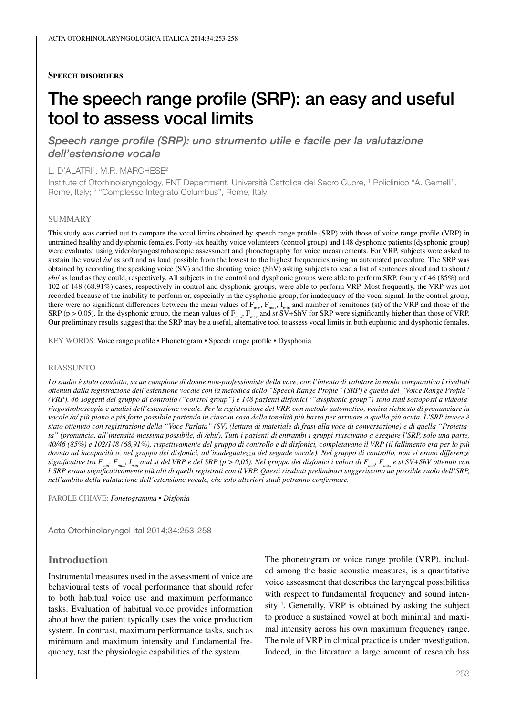#### **Speech disorders**

# The speech range profile (SRP): an easy and useful tool to assess vocal limits

*Speech range profile (SRP): uno strumento utile e facile per la valutazione dell'estensione vocale*

#### L. D'ALATRI<sup>1</sup>, M.R. MARCHESE<sup>2</sup>

Institute of Otorhinolaryngology, ENT Department, Università Cattolica del Sacro Cuore, 1 Policlinico "A. Gemelli", Rome, Italy; <sup>2</sup> "Complesso Integrato Columbus", Rome, Italy

#### SUMMARY

This study was carried out to compare the vocal limits obtained by speech range profile (SRP) with those of voice range profile (VRP) in untrained healthy and dysphonic females. Forty-six healthy voice volunteers (control group) and 148 dysphonic patients (dysphonic group) were evaluated using videolaryngostroboscopic assessment and phonetography for voice measurements. For VRP, subjects were asked to sustain the vowel /a/ as soft and as loud possible from the lowest to the highest frequencies using an automated procedure. The SRP was obtained by recording the speaking voice (SV) and the shouting voice (ShV) asking subjects to read a list of sentences aloud and to shout / *ehi*/ as loud as they could, respectively. All subjects in the control and dysphonic groups were able to perform SRP. fourty of 46 (85%) and 102 of 148 (68.91%) cases, respectively in control and dysphonic groups, were able to perform VRP. Most frequently, the VRP was not recorded because of the inability to perform or, especially in the dysphonic group, for inadequacy of the vocal signal. In the control group, there were no significant differences between the mean values of  $F_{min}$ ,  $F_{max}$ ,  $I_{min}$  and number of semitones (st) of the VRP and those of the SRP ( $p > 0.05$ ). In the dysphonic group, the mean values of  $F_{min}$ ,  $F_{max}$  and *st* SV+ShV for SRP were significantly higher than those of VRP. Our preliminary results suggest that the SRP may be a useful, alternative tool to assess vocal limits in both euphonic and dysphonic females.

KEY WORDS: Voice range profile • Phonetogram • Speech range profile • Dysphonia

#### RIASSUNTO

*Lo studio è stato condotto, su un campione di donne non-professioniste della voce, con l'intento di valutare in modo comparativo i risultati ottenuti dalla registrazione dell'estensione vocale con la metodica dello "Speech Range Profile" (SRP) e quella del "Voice Range Profile" (VRP). 46 soggetti del gruppo di controllo ("control group") e 148 pazienti disfonici ("dysphonic group") sono stati sottoposti a videolaringostroboscopia e analisi dell'estensione vocale. Per la registrazione del VRP, con metodo automatico, veniva richiesto di pronunciare la vocale /a/ più piano e più forte possibile partendo in ciascun caso dalla tonalità più bassa per arrivare a quella più acuta. L'SRP invece è stato ottenuto con registrazione della "Voce Parlata" (SV) (lettura di materiale di frasi alla voce di conversazione) e di quella "Proiettata" (pronuncia, all'intensità massima possibile, di /ehi/). Tutti i pazienti di entrambi i gruppi riuscivano a eseguire l'SRP, solo una parte, 40/46 (85%) e 102/148 (68,91%), rispettivamente del gruppo di controllo e di disfonici, completavano il VRP (il fallimento era per lo più dovuto ad incapacità o, nel gruppo dei disfonici, all'inadeguatezza del segnale vocale). Nel gruppo di controllo, non vi erano differenze significative tra*  $F_{\text{min}}$ ,  $F_{\text{max}}$ ,  $I_{\text{min}}$  and st del VRP e del SRP (p > 0,05). Nel gruppo dei disfonici i valori di  $F_{\text{min}}$ ,  $F_{\text{max}}$  e st SV+ShV ottenuti con *l'SRP erano significativamente più alti di quelli registrati con il VRP. Questi risultati preliminari suggeriscono un possible ruolo dell'SRP, nell'ambito della valutazione dell'estensione vocale, che solo ulteriori studi potranno confermare.*

PAROLE CHIAVE: *Fonetogramma • Disfonia*

Acta Otorhinolaryngol Ital 2014;34:253-258

## **Introduction**

Instrumental measures used in the assessment of voice are behavioural tests of vocal performance that should refer to both habitual voice use and maximum performance tasks. Evaluation of habitual voice provides information about how the patient typically uses the voice production system. In contrast, maximum performance tasks, such as minimum and maximum intensity and fundamental frequency, test the physiologic capabilities of the system.

The phonetogram or voice range profile (VRP), included among the basic acoustic measures, is a quantitative voice assessment that describes the laryngeal possibilities with respect to fundamental frequency and sound intensity  $1$ . Generally, VRP is obtained by asking the subject to produce a sustained vowel at both minimal and maximal intensity across his own maximum frequency range. The role of VRP in clinical practice is under investigation. Indeed, in the literature a large amount of research has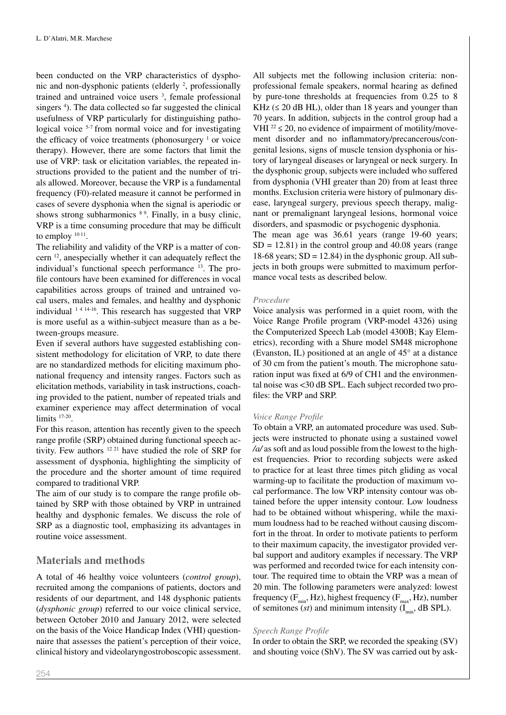been conducted on the VRP characteristics of dysphonic and non-dysphonic patients (elderly <sup>2</sup>, professionally trained and untrained voice users <sup>3</sup>, female professional singers<sup>4</sup>). The data collected so far suggested the clinical usefulness of VRP particularly for distinguishing pathological voice <sup>5-7</sup> from normal voice and for investigating the efficacy of voice treatments (phonosurgery  $1$  or voice therapy). However, there are some factors that limit the use of VRP: task or elicitation variables, the repeated instructions provided to the patient and the number of trials allowed. Moreover, because the VRP is a fundamental frequency (F0)-related measure it cannot be performed in cases of severe dysphonia when the signal is aperiodic or shows strong subharmonics <sup>89</sup>. Finally, in a busy clinic, VRP is a time consuming procedure that may be difficult to employ <sup>10 11</sup>.

The reliability and validity of the VRP is a matter of concern 12, anespecially whether it can adequately reflect the individual's functional speech performance 13. The profile contours have been examined for differences in vocal capabilities across groups of trained and untrained vocal users, males and females, and healthy and dysphonic individual  $1414-16$ . This research has suggested that VRP is more useful as a within-subject measure than as a between-groups measure.

Even if several authors have suggested establishing consistent methodology for elicitation of VRP, to date there are no standardized methods for eliciting maximum phonational frequency and intensity ranges. Factors such as elicitation methods, variability in task instructions, coaching provided to the patient, number of repeated trials and examiner experience may affect determination of vocal limits  $17-20$ .

For this reason, attention has recently given to the speech range profile (SRP) obtained during functional speech activity. Few authors 12 21 have studied the role of SRP for assessment of dysphonia, highlighting the simplicity of the procedure and the shorter amount of time required compared to traditional VRP.

The aim of our study is to compare the range profile obtained by SRP with those obtained by VRP in untrained healthy and dysphonic females. We discuss the role of SRP as a diagnostic tool, emphasizing its advantages in routine voice assessment.

## **Materials and methods**

A total of 46 healthy voice volunteers (*control group*), recruited among the companions of patients, doctors and residents of our department, and 148 dysphonic patients (*dysphonic group*) referred to our voice clinical service, between October 2010 and January 2012, were selected on the basis of the Voice Handicap Index (VHI) questionnaire that assesses the patient's perception of their voice, clinical history and videolaryngostroboscopic assessment.

All subjects met the following inclusion criteria: nonprofessional female speakers, normal hearing as defined by pure-tone thresholds at frequencies from 0.25 to 8 KHz  $( \leq 20$  dB HL), older than 18 years and younger than 70 years. In addition, subjects in the control group had a VHI  $^{22} \le 20$ , no evidence of impairment of motility/movement disorder and no inflammatory/precancerous/congenital lesions, signs of muscle tension dysphonia or history of laryngeal diseases or laryngeal or neck surgery. In the dysphonic group, subjects were included who suffered from dysphonia (VHI greater than 20) from at least three months. Exclusion criteria were history of pulmonary disease, laryngeal surgery, previous speech therapy, malignant or premalignant laryngeal lesions, hormonal voice disorders, and spasmodic or psychogenic dysphonia.

The mean age was 36.61 years (range 19-60 years;  $SD = 12.81$ ) in the control group and 40.08 years (range 18-68 years;  $SD = 12.84$ ) in the dysphonic group. All subjects in both groups were submitted to maximum performance vocal tests as described below.

## *Procedure*

Voice analysis was performed in a quiet room, with the Voice Range Profile program (VRP-model 4326) using the Computerized Speech Lab (model 4300B; Kay Elemetrics), recording with a Shure model SM48 microphone (Evanston, IL) positioned at an angle of 45° at a distance of 30 cm from the patient's mouth. The microphone saturation input was fixed at 6/9 of CH1 and the environmental noise was <30 dB SPL. Each subject recorded two profiles: the VRP and SRP.

## *Voice Range Profile*

To obtain a VRP, an automated procedure was used. Subjects were instructed to phonate using a sustained vowel */a/* as soft and as loud possible from the lowest to the highest frequencies. Prior to recording subjects were asked to practice for at least three times pitch gliding as vocal warming-up to facilitate the production of maximum vocal performance. The low VRP intensity contour was obtained before the upper intensity contour. Low loudness had to be obtained without whispering, while the maximum loudness had to be reached without causing discomfort in the throat. In order to motivate patients to perform to their maximum capacity, the investigator provided verbal support and auditory examples if necessary. The VRP was performed and recorded twice for each intensity contour. The required time to obtain the VRP was a mean of 20 min. The following parameters were analyzed: lowest frequency ( $F_{min}$ , Hz), highest frequency ( $F_{max}$ , Hz), number of semitones ( $st$ ) and minimum intensity ( $I_{min}$ , dB SPL).

## *Speech Range Profile*

In order to obtain the SRP, we recorded the speaking (SV) and shouting voice (ShV). The SV was carried out by ask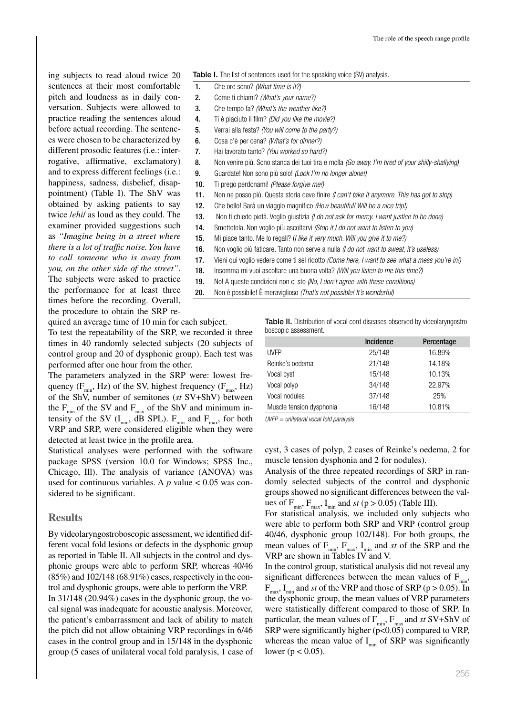ing subjects to read aloud twice 20 sentences at their most comfortable pitch and loudness as in daily conversation. Subjects were allowed to practice reading the sentences aloud before actual recording. The sentences were chosen to be characterized by different prosodic features (i.e.: interrogative, affirmative, exclamatory) and to express different feelings (i.e.: happiness, sadness, disbelief, disappointment) (Table I). The ShV was obtained by asking patients to say twice /*ehi*/ as loud as they could. The examiner provided suggestions such as *"Imagine being in a street where there is a lot of traffic noise. You have to call someone who is away from you, on the other side of the street"*. The subjects were asked to practice the performance for at least three times before the recording. Overall, the procedure to obtain the SRP reTable I. The list of sentences used for the speaking voice (SV) analysis.

- 1. Che ore sono? *(What time is it?)*
- 2. Come ti chiami? *(What's your name?)*
- 3. Che tempo fa? *(What's the weather like?)*
- 4. Ti è piaciuto il film? *(Did you like the movie?)*
- 5. Verrai alla festa? *(You will come to the party?)*
- 6. Cosa c'è per cena? *(What's for dinner?)*
- 7. Hai lavorato tanto? *(You worked so hard?)*
- 8. Non venire più. Sono stanca dei tuoi tira e molla *(Go away. I'm tired of your shilly-shallying)*
- 9. Guardate! Non sono più solo! *(Look I'm no longer alone!)*
- 10. Ti prego perdonami! *(Please forgive me!)*
- 11. Non ne posso più. Questa storia deve finire *(I can't take it anymore. This has got to stop)*
- 12. Che bello! Sarà un viaggio magnifico *(How beautiful! Will be a nice trip!)*
- 13. Non ti chiedo pietà. Voglio giustizia *(I do not ask for mercy. I want justice to be done)*
- 14. Smettetela. Non voglio più ascoltarvi *(Stop it I do not want to listen to you)*
- 15. Mi piace tanto. Me lo regali? (*I like it very much. Will you give it to me?)*
- 16. Non voglio più faticare. Tanto non serve a nulla *(I do not want to sweat, it's useless)*
- 17. Vieni qui voglio vedere come ti sei ridotto *(Come here, I want to see what a mess you're in!)*
- 18. Insomma mi vuoi ascoltare una buona volta? *(Will you listen to me this time?)*
- 19. No! A queste condizioni non ci sto *(No, I don't agree with these conditions)*
- 20. Non è possibile! È meraviglioso *(That's not possible! It's wonderful)*

quired an average time of 10 min for each subject.

To test the repeatability of the SRP, we recorded it three times in 40 randomly selected subjects (20 subjects of control group and 20 of dysphonic group). Each test was performed after one hour from the other.

The parameters analyzed in the SRP were: lowest frequency ( $F_{min}$ , Hz) of the SV, highest frequency ( $F_{max}$ , Hz) of the ShV, number of semitones (*st* SV+ShV) between the  $F_{min}$  of the SV and  $F_{max}$  of the ShV and minimum intensity of the SV  $(I_{min}$ , dB SPL).  $F_{min}$  and  $F_{max}$ , for both VRP and SRP, were considered eligible when they were detected at least twice in the profile area.

Statistical analyses were performed with the software package SPSS (version 10.0 for Windows; SPSS Inc., Chicago, Ill). The analysis of variance (ANOVA) was used for continuous variables. A *p* value < 0.05 was considered to be significant.

## **Results**

By videolaryngostroboscopic assessment, we identified different vocal fold lesions or defects in the dysphonic group as reported in Table II. All subjects in the control and dysphonic groups were able to perform SRP, whereas 40/46 (85%) and 102/148 (68.91%) cases, respectively in the control and dysphonic groups, were able to perform the VRP. In 31/148 (20.94%) cases in the dysphonic group, the vocal signal was inadequate for acoustic analysis. Moreover, the patient's embarrassment and lack of ability to match the pitch did not allow obtaining VRP recordings in 6/46 cases in the control group and in 15/148 in the dysphonic group (5 cases of unilateral vocal fold paralysis, 1 case of Table II. Distribution of vocal cord diseases observed by videolaryngostroboscopic assessment.

|                          | <b>Incidence</b> | Percentage |
|--------------------------|------------------|------------|
| <b>UVFP</b>              | 25/148           | 16.89%     |
| Reinke's oedema          | 21/148           | 14.18%     |
| Vocal cyst               | 15/148           | 10.13%     |
| Vocal polyp              | 34/148           | 22.97%     |
| Vocal nodules            | 37/148           | 25%        |
| Muscle tension dysphonia | 16/148           | 10.81%     |

*UVFP = unilateral vocal fold paralysis*

cyst, 3 cases of polyp, 2 cases of Reinke's oedema, 2 for muscle tension dysphonia and 2 for nodules).

Analysis of the three repeated recordings of SRP in randomly selected subjects of the control and dysphonic groups showed no significant differences between the values of  $F_{min}$ ,  $F_{max}$ ,  $I_{min}$  and *st* (p > 0.05) (Table III).

For statistical analysis, we included only subjects who were able to perform both SRP and VRP (control group 40/46, dysphonic group 102/148). For both groups, the mean values of  $F_{min}$ ,  $F_{max}$ ,  $I_{min}$  and *st* of the SRP and the VRP are shown in Tables IV and V.

In the control group, statistical analysis did not reveal any significant differences between the mean values of  $F_{min}$ ,  $F_{\text{max}}$ , I<sub>min</sub> and *st* of the VRP and those of SRP (p > 0.05). In the dysphonic group, the mean values of VRP parameters were statistically different compared to those of SRP. In particular, the mean values of  $F_{min}$ ,  $F_{max}$  and *st* SV+ShV of SRP were significantly higher  $(p<0.05)$  compared to VRP, whereas the mean value of  $I_{\text{min}}$  of SRP was significantly lower ( $p < 0.05$ ).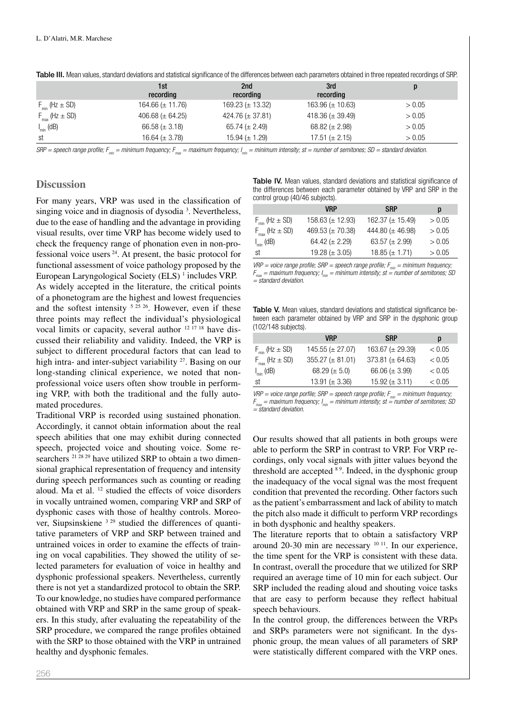|                                | 1st<br>recording      | 2nd<br>recording      | 3rd<br>recording      |        |
|--------------------------------|-----------------------|-----------------------|-----------------------|--------|
| $F_{\text{min}}$ (Hz $\pm$ SD) | 164.66 ( $\pm$ 11.76) | 169.23 ( $\pm$ 13.32) | 163.96 $(\pm 10.63)$  | > 0.05 |
| $F_{\text{max}}$ (Hz $\pm$ SD) | 406.68 ( $\pm$ 64.25) | 424.76 ( $\pm$ 37.81) | 418.36 ( $\pm$ 39.49) | > 0.05 |
| $I_{min}$ (dB)                 | 66.58 ( $\pm$ 3.18)   | $65.74 \ (\pm 2.49)$  | $68.82 \ (\pm 2.98)$  | > 0.05 |
| st                             | 16.64 $(\pm 3.78)$    | $15.94 \ (\pm 1.29)$  | $17.51 \ (\pm 2.15)$  | > 0.05 |

Table III. Mean values, standard deviations and statistical significance of the differences between each parameters obtained in three repeated recordings of SRP.

 $SRP =$  speech range profile;  $F_{min} =$  minimum frequency;  $F_{max} =$  maximum frequency;  $I_{min} =$  minimum intensity; st = number of semitones; SD = standard deviation.

## **Discussion**

For many years, VRP was used in the classification of singing voice and in diagnosis of dysodia  $3$ . Nevertheless, due to the ease of handling and the advantage in providing visual results, over time VRP has become widely used to check the frequency range of phonation even in non-professional voice users 24. At present, the basic protocol for functional assessment of voice pathology proposed by the European Laryngological Society (ELS)<sup>1</sup> includes VRP. As widely accepted in the literature, the critical points of a phonetogram are the highest and lowest frequencies and the softest intensity  $52526$ . However, even if these three points may reflect the individual's physiological vocal limits or capacity, several author <sup>12 17 18</sup> have discussed their reliability and validity. Indeed, the VRP is subject to different procedural factors that can lead to high intra- and inter-subject variability <sup>27</sup>. Basing on our long-standing clinical experience, we noted that nonprofessional voice users often show trouble in performing VRP, with both the traditional and the fully automated procedures.

Traditional VRP is recorded using sustained phonation. Accordingly, it cannot obtain information about the real speech abilities that one may exhibit during connected speech, projected voice and shouting voice. Some researchers <sup>21 28 29</sup> have utilized SRP to obtain a two dimensional graphical representation of frequency and intensity during speech performances such as counting or reading aloud. Ma et al.  $12$  studied the effects of voice disorders in vocally untrained women, comparing VRP and SRP of dysphonic cases with those of healthy controls. Moreover, Siupsinskiene <sup>3 29</sup> studied the differences of quantitative parameters of VRP and SRP between trained and untrained voices in order to examine the effects of training on vocal capabilities. They showed the utility of selected parameters for evaluation of voice in healthy and dysphonic professional speakers. Nevertheless, currently there is not yet a standardized protocol to obtain the SRP. To our knowledge, no studies have compared performance obtained with VRP and SRP in the same group of speakers. In this study, after evaluating the repeatability of the SRP procedure, we compared the range profiles obtained with the SRP to those obtained with the VRP in untrained healthy and dysphonic females.

Table IV. Mean values, standard deviations and statistical significance of the differences between each parameter obtained by VRP and SRP in the control group (40/46 subjects).

|                                | <b>VRP</b>            | <b>SRP</b>            | p      |
|--------------------------------|-----------------------|-----------------------|--------|
| $F_{\text{min}}$ (Hz $\pm$ SD) | 158.63 ( $\pm$ 12.93) | 162.37 ( $\pm$ 15.49) | > 0.05 |
| $F_{\text{max}}$ (Hz $\pm$ SD) | 469.53 ( $\pm$ 70.38) | 444.80 ( $\pm$ 46.98) | > 0.05 |
| $I_{min}$ (dB)                 | 64.42 ( $\pm$ 2.29)   | 63.57 ( $\pm$ 2.99)   | > 0.05 |
| st                             | 19.28 ( $\pm$ 3.05)   | $18.85 (\pm 1.71)$    | > 0.05 |

 $VRP =$  voice range profile;  $SRP =$  speech range profile;  $F_{min} =$  minimum frequency;  $F_{\text{max}} =$  maximum frequency;  $I_{\text{min}} =$  minimum intensity; st  $\stackrel{\text{min}}{=}$  number of semitones; SD *= standard deviation.*

Table V. Mean values, standard deviations and statistical significance between each parameter obtained by VRP and SRP in the dysphonic group (102/148 subjects).

|                                | <b>VRP</b>             | <b>SRP</b>            | p      |
|--------------------------------|------------------------|-----------------------|--------|
| $F_{\text{min}}$ (Hz $\pm$ SD) | $145.55 \ (\pm 27.07)$ | 163.67 ( $\pm$ 29.39) | < 0.05 |
| $F_{\text{max}}$ (Hz $\pm$ SD) | $355.27 (\pm 81.01)$   | 373.81 ( $\pm$ 64.63) | < 0.05 |
| $I_{min}$ (dB)                 | 68.29 ( $\pm$ 5.0)     | 66.06 ( $\pm$ 3.99)   | < 0.05 |
| st                             | 13.91 ( $\pm$ 3.36)    | 15.92 ( $\pm$ 3.11)   | < 0.05 |

*VRP* = voice range porfile; *SRP* = speech range profile;  $F_{\text{min}}$  = minimum frequency;  $F_{\text{max}}$  = maximum frequency;  $I_{\text{min}}$  = minimum intensity; st = number of semitones; SD *= standard deviation.*

Our results showed that all patients in both groups were able to perform the SRP in contrast to VRP. For VRP recordings, only vocal signals with jitter values beyond the threshold are accepted  $89$ . Indeed, in the dysphonic group the inadequacy of the vocal signal was the most frequent condition that prevented the recording. Other factors such as the patient's embarrassment and lack of ability to match the pitch also made it difficult to perform VRP recordings in both dysphonic and healthy speakers.

The literature reports that to obtain a satisfactory VRP around  $20-30$  min are necessary  $10^{-11}$ . In our experience, the time spent for the VRP is consistent with these data. In contrast, overall the procedure that we utilized for SRP required an average time of 10 min for each subject. Our SRP included the reading aloud and shouting voice tasks that are easy to perform because they reflect habitual speech behaviours.

In the control group, the differences between the VRPs and SRPs parameters were not significant. In the dysphonic group, the mean values of all parameters of SRP were statistically different compared with the VRP ones.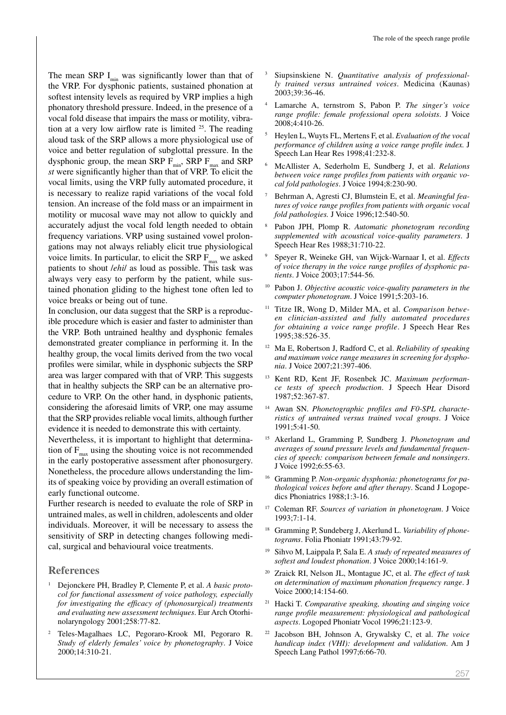The mean SRP  $I_{\text{min}}$  was significantly lower than that of the VRP. For dysphonic patients, sustained phonation at softest intensity levels as required by VRP implies a high phonatory threshold pressure. Indeed, in the presence of a vocal fold disease that impairs the mass or motility, vibration at a very low airflow rate is limited  $25$ . The reading aloud task of the SRP allows a more physiological use of voice and better regulation of subglottal pressure. In the dysphonic group, the mean SRP  $F_{min}$ , SRP  $F_{max}$  and SRP *st* were significantly higher than that of VRP. To elicit the vocal limits, using the VRP fully automated procedure, it is necessary to realize rapid variations of the vocal fold tension. An increase of the fold mass or an impairment in motility or mucosal wave may not allow to quickly and accurately adjust the vocal fold length needed to obtain frequency variations. VRP using sustained vowel prolongations may not always reliably elicit true physiological voice limits. In particular, to elicit the SRP  $F_{\text{max}}$  we asked patients to shout /*ehi*/ as loud as possible. This task was always very easy to perform by the patient, while sustained phonation gliding to the highest tone often led to voice breaks or being out of tune.

In conclusion, our data suggest that the SRP is a reproducible procedure which is easier and faster to administer than the VRP. Both untrained healthy and dysphonic females demonstrated greater compliance in performing it. In the healthy group, the vocal limits derived from the two vocal profiles were similar, while in dysphonic subjects the SRP area was larger compared with that of VRP. This suggests that in healthy subjects the SRP can be an alternative procedure to VRP. On the other hand, in dysphonic patients, considering the aforesaid limits of VRP, one may assume that the SRP provides reliable vocal limits, although further evidence it is needed to demonstrate this with certainty.

Nevertheless, it is important to highlight that determination of  $F_{\text{max}}$  using the shouting voice is not recommended in the early postoperative assessment after phonosurgery. Nonetheless, the procedure allows understanding the limits of speaking voice by providing an overall estimation of early functional outcome.

Further research is needed to evaluate the role of SRP in untrained males, as well in children, adolescents and older individuals. Moreover, it will be necessary to assess the sensitivity of SRP in detecting changes following medical, surgical and behavioural voice treatments.

## **References**

- <sup>1</sup> Dejonckere PH, Bradley P, Clemente P, et al. *A basic protocol for functional assessment of voice pathology, especially for investigating the efficacy of (phonosurgical) treatments and evaluating new assessment techniques*. Eur Arch Otorhinolaryngology 2001;258:77-82.
- <sup>2</sup> Teles-Magalhaes LC, Pegoraro-Krook MI, Pegoraro R. *Study of elderly females' voice by phonetography*. J Voice 2000;14:310-21.
- Siupsinskiene N. *Quantitative analysis of professionally trained versus untrained voices*. Medicina (Kaunas) 2003;39:36-46.
- <sup>4</sup> Lamarche A, ternstrom S, Pabon P. *The singer's voice range profile: female professional opera soloists*. J Voice 2008;4:410-26.
- <sup>5</sup> Heylen L, Wuyts FL, Mertens F, et al. *Evaluation of the vocal performance of children using a voice range profile index.* J Speech Lan Hear Res 1998;41:232-8.
- <sup>6</sup> McAllister A, Sederholm E, Sundberg J, et al. *Relations between voice range profiles from patients with organic vocal fold pathologies*. J Voice 1994;8:230-90.
- <sup>7</sup> Behrman A, Agresti CJ, Blumstein E, et al. *Meaningful features of voice range profiles from patients with organic vocal fold pathologies.* J Voice 1996;12:540-50.
- <sup>8</sup> Pabon JPH, Plomp R. *Automatic phonetogram recording supplemented with acoustical voice-quality parameters*. J Speech Hear Res 1988;31:710-22.
- <sup>9</sup> Speyer R, Weineke GH, van Wijck-Warnaar I, et al. *Effects of voice therapy in the voice range profiles of dysphonic patients*. J Voice 2003;17:544-56.
- <sup>10</sup> Pabon J. *Objective acoustic voice-quality parameters in the computer phonetogram*. J Voice 1991;5:203-16.
- Titze IR, Wong D, Milder MA, et al. *Comparison between clinician-assisted and fully automated procedures for obtaining a voice range profile*. J Speech Hear Res 1995;38:526-35.
- <sup>12</sup> Ma E, Robertson J, Radford C, et al. *Reliability of speaking and maximum voice range measures in screening for dysphonia*. J Voice 2007;21:397-406.
- <sup>13</sup> Kent RD, Kent JF, Rosenbek JC. *Maximum performance tests of speech production*. J Speech Hear Disord 1987;52:367-87.
- <sup>14</sup> Awan SN. *Phonetographic profiles and F0-SPL characteristics of untrained versus trained vocal groups*. J Voice 1991;5:41-50.
- <sup>15</sup> Akerland L, Gramming P, Sundberg J. *Phonetogram and averages of sound pressure levels and fundamental frequencies of speech: comparison between female and nonsingers*. J Voice 1992;6:55-63.
- <sup>16</sup> Gramming P. *Non-organic dysphonia: phonetograms for pathological voices before and after therapy*. Scand J Logopedics Phoniatrics 1988;1:3-16.
- <sup>17</sup> Coleman RF. *Sources of variation in phonetogram*. J Voice 1993;7:1-14.
- <sup>18</sup> Gramming P, Sundeberg J, Akerlund L. *Variability of phonetograms*. Folia Phoniatr 1991;43:79-92.
- <sup>19</sup> Sihvo M, Laippala P, Sala E. *A study of repeated measures of softest and loudest phonation*. J Voice 2000;14:161-9.
- <sup>20</sup> Zraick RI, Nelson JL, Montague JC, et al. *The effect of task on determination of maximum phonation frequency range*. J Voice 2000;14:154-60.
- <sup>21</sup> Hacki T. *Comparative speaking, shouting and singing voice range profile measurement: physiological and pathological aspects*. Logoped Phoniatr Vocol 1996;21:123-9.
- Jacobson BH, Johnson A, Grywalsky C, et al. *The voice handicap index (VHI): development and validation*. Am J Speech Lang Pathol 1997;6:66-70.